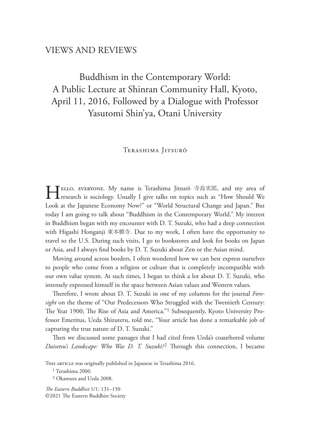# VIEWS AND REVIEWS

# Buddhism in the Contemporary World: A Public Lecture at Shinran Community Hall, Kyoto, April 11, 2016, Followed by a Dialogue with Professor Yasutomi Shin'ya, Otani University

# Terashima Jitsurō

HELLO, EVERYONE. My name is Terashima Jitsurō 寺島実郎, and my area of research is sociology. Usually I give talks on topics such as "How Should We Look at the Japanese Economy Now?" or "World Structural Change and Japan." But today I am going to talk about "Buddhism in the Contemporary World." My interest in Buddhism began with my encounter with D. T. Suzuki, who had a deep connection with Higashi Honganji 東本願寺. Due to my work, I often have the opportunity to travel to the U.S. During such visits, I go to bookstores and look for books on Japan or Asia, and I always find books by D. T. Suzuki about Zen or the Asian mind.

Moving around across borders, I often wondered how we can best express ourselves to people who come from a religion or culture that is completely incompatible with our own value system. At such times, I began to think a lot about D. T. Suzuki, who intensely expressed himself in the space between Asian values and Western values.

Therefore, I wrote about D. T. Suzuki in one of my columns for the journal *Foresight* on the theme of "Our Predecessors Who Struggled with the Twentieth Century: The Year 1900; The Rise of Asia and America."<sup>1</sup> Subsequently, Kyoto University Professor Emeritus, Ueda Shizuteru, told me, "Your article has done a remarkable job of capturing the true nature of D. T. Suzuki."

Then we discussed some passages that I had cited from Ueda's coauthored volume Daisetsu's Landscape: Who Was D. T. Suzuki?<sup>2</sup> Through this connection, I became

THIS ARTICLE was originally published in Japanese in Terashima 2016.

1 Terashima 2000.

2 Okamura and Ueda 2008.

*!e Eastern Buddhist* 1/1: 131–150 ©2021 The Eastern Buddhist Society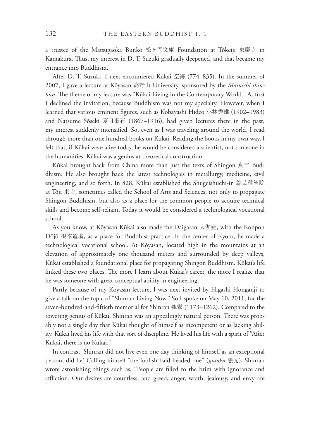a trustee of the Matsugaoka Bunko 松ヶ岡文庫 Foundation at Tōkeiji 東慶寺 in Kamakura. Thus, my interest in D. T. Suzuki gradually deepened, and that became my entrance into Buddhism.

After D. T. Suzuki, I next encountered Kūkai 空海 (774–835). In the summer of 2007, I gave a lecture at Kōyasan 高野山 University, sponsored by the *Mainichi shinbun*. The theme of my lecture was "Kūkai Living in the Contemporary World." At first I declined the invitation, because Buddhism was not my specialty. However, when I learned that various eminent figures, such as Kobayashi Hideo 小林秀雄 (1902–1983) and Natsume Sōseki 夏目漱石 (1867–1916), had given lectures there in the past, my interest suddenly intensified. So, even as I was traveling around the world, I read through more than one hundred books on Kūkai. Reading the books in my own way, I felt that, if Kūkai were alive today, he would be considered a scientist, not someone in the humanities. Kūkai was a genius at theoretical construction.

Kūkai brought back from China more than just the texts of Shingon 真言 Buddhism. He also brought back the latest technologies in metallurgy, medicine, civil engineering, and so forth. In 828, Kūkai established the Shugeishuchi-in 綜芸種智院 at Tōji 東寺, sometimes called the School of Arts and Sciences, not only to propagate Shingon Buddhism, but also as a place for the common people to acquire technical skills and become self-reliant. Today it would be considered a technological vocational school.

As you know, at Kōyasan Kūkai also made the Daigaran 大伽藍, with the Konpon Dōjō 根本道場, as a place for Buddhist practice. In the center of Kyoto, he made a technological vocational school. At Kōyasan, located high in the mountains at an elevation of approximately one thousand meters and surrounded by deep valleys, Kūkai established a foundational place for propagating Shingon Buddhism. Kūkai's life linked these two places. The more I learn about Kūkai's career, the more I realize that he was someone with great conceptual ability in engineering.

Partly because of my Kōyasan lecture, I was next invited by Higashi Honganji to give a talk on the topic of "Shinran Living Now." So I spoke on May 10, 2011, for the seven-hundred-and-fiftieth memorial for Shinran 親鸞 (1173–1262). Compared to the towering genius of Kūkai, Shinran was an appealingly natural person. There was probably not a single day that Kūkai thought of himself as incompetent or as lacking ability. Kūkai lived his life with that sort of discipline. He lived his life with a spirit of "After Kūkai, there is no Kūkai."

In contrast, Shinran did not live even one day thinking of himself as an exceptional person, did he? Calling himself "the foolish bald-headed one" ( *gutoku* 愚禿), Shinran wrote astonishing things such as, "People are filled to the brim with ignorance and affliction. Our desires are countless, and greed, anger, wrath, jealousy, and envy are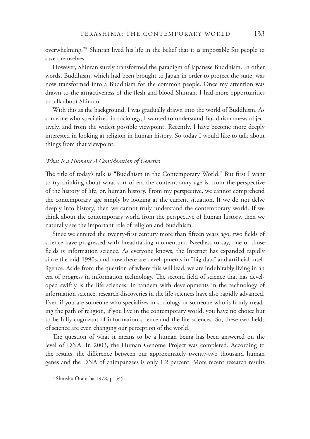overwhelming."3 Shinran lived his life in the belief that it is impossible for people to save themselves.

However, Shinran surely transformed the paradigm of Japanese Buddhism. In other words, Buddhism, which had been brought to Japan in order to protect the state, was now transformed into a Buddhism for the common people. Once my attention was drawn to the attractiveness of the flesh-and-blood Shinran, I had more opportunities to talk about Shinran.

With this as the background, I was gradually drawn into the world of Buddhism. As someone who specialized in sociology, I wanted to understand Buddhism anew, objectively, and from the widest possible viewpoint. Recently, I have become more deeply interested in looking at religion in human history. So today I would like to talk about things from that viewpoint.

#### *What Is a Human? A Consideration of Genetics*

The title of today's talk is "Buddhism in the Contemporary World." But first I want to try thinking about what sort of era the contemporary age is, from the perspective of the history of life, or, human history. From my perspective, we cannot comprehend the contemporary age simply by looking at the current situation. If we do not delve deeply into history, then we cannot truly understand the contemporary world. If we think about the contemporary world from the perspective of human history, then we naturally see the important role of religion and Buddhism.

Since we entered the twenty-first century more than fifteen years ago, two fields of science have progressed with breathtaking momentum. Needless to say, one of those fields is information science. As everyone knows, the Internet has expanded rapidly since the mid-1990s, and now there are developments in "big data" and artificial intelligence. Aside from the question of where this will lead, we are indubitably living in an era of progress in information technology. The second field of science that has developed swiftly is the life sciences. In tandem with developments in the technology of information science, research discoveries in the life sciences have also rapidly advanced. Even if you are someone who specializes in sociology or someone who is firmly treading the path of religion, if you live in the contemporary world, you have no choice but to be fully cognizant of information science and the life sciences. So, these two fields of science are even changing our perception of the world.

The question of what it means to be a human being has been answered on the level of DNA. In 2003, the Human Genome Project was completed. According to the results, the difference between our approximately twenty-two thousand human genes and the DNA of chimpanzees is only 1.2 percent. More recent research results

<sup>3</sup> Shinshū Ōtani-ha 1978, p. 545.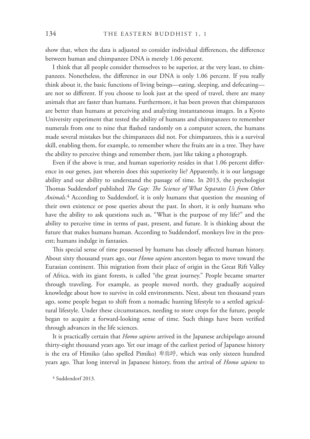show that, when the data is adjusted to consider individual differences, the difference between human and chimpanzee DNA is merely 1.06 percent.

I think that all people consider themselves to be superior, at the very least, to chimpanzees. Nonetheless, the difference in our DNA is only 1.06 percent. If you really think about it, the basic functions of living beings—eating, sleeping, and defecating are not so different. If you choose to look just at the speed of travel, there are many animals that are faster than humans. Furthermore, it has been proven that chimpanzees are better than humans at perceiving and analyzing instantaneous images. In a Kyoto University experiment that tested the ability of humans and chimpanzees to remember numerals from one to nine that flashed randomly on a computer screen, the humans made several mistakes but the chimpanzees did not. For chimpanzees, this is a survival skill, enabling them, for example, to remember where the fruits are in a tree. They have the ability to perceive things and remember them, just like taking a photograph.

Even if the above is true, and human superiority resides in that 1.06 percent difference in our genes, just wherein does this superiority lie? Apparently, it is our language ability and our ability to understand the passage of time. In 2013, the psychologist Thomas Suddendorf published *The Gap: The Science of What Separates Us from Other Animals*. 4 According to Suddendorf, it is only humans that question the meaning of their own existence or pose queries about the past. In short, it is only humans who have the ability to ask questions such as, "What is the purpose of my life?" and the ability to perceive time in terms of past, present, and future. It is thinking about the future that makes humans human. According to Suddendorf, monkeys live in the present; humans indulge in fantasies.

This special sense of time possessed by humans has closely affected human history. About sixty thousand years ago, our *Homo sapiens* ancestors began to move toward the Eurasian continent. This migration from their place of origin in the Great Rift Valley of Africa, with its giant forests, is called "the great journey." People became smarter through traveling. For example, as people moved north, they gradually acquired knowledge about how to survive in cold environments. Next, about ten thousand years ago, some people began to shift from a nomadic hunting lifestyle to a settled agricultural lifestyle. Under these circumstances, needing to store crops for the future, people began to acquire a forward-looking sense of time. Such things have been verified through advances in the life sciences.

It is practically certain that *Homo sapiens* arrived in the Japanese archipelago around thirty-eight thousand years ago. Yet our image of the earliest period of Japanese history is the era of Himiko (also spelled Pimiko) 卑弥呼, which was only sixteen hundred years ago. That long interval in Japanese history, from the arrival of *Homo sapiens* to

4 Suddendorf 2013.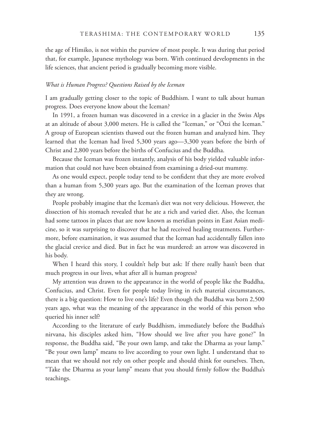the age of Himiko, is not within the purview of most people. It was during that period that, for example, Japanese mythology was born. With continued developments in the life sciences, that ancient period is gradually becoming more visible.

# *What is Human Progress? Questions Raised by the Iceman*

I am gradually getting closer to the topic of Buddhism. I want to talk about human progress. Does everyone know about the Iceman?

In 1991, a frozen human was discovered in a crevice in a glacier in the Swiss Alps at an altitude of about 3,000 meters. He is called the "Iceman," or "Ötzi the Iceman." A group of European scientists thawed out the frozen human and analyzed him. They learned that the Iceman had lived 5,300 years ago—3,300 years before the birth of Christ and 2,800 years before the births of Confucius and the Buddha.

Because the Iceman was frozen instantly, analysis of his body yielded valuable information that could not have been obtained from examining a dried-out mummy.

As one would expect, people today tend to be confident that they are more evolved than a human from 5,300 years ago. But the examination of the Iceman proves that they are wrong.

People probably imagine that the Iceman's diet was not very delicious. However, the dissection of his stomach revealed that he ate a rich and varied diet. Also, the Iceman had some tattoos in places that are now known as meridian points in East Asian medicine, so it was surprising to discover that he had received healing treatments. Furthermore, before examination, it was assumed that the Iceman had accidentally fallen into the glacial crevice and died. But in fact he was murdered: an arrow was discovered in his body.

When I heard this story, I couldn't help but ask: If there really hasn't been that much progress in our lives, what after all is human progress?

My attention was drawn to the appearance in the world of people like the Buddha, Confucius, and Christ. Even for people today living in rich material circumstances, there is a big question: How to live one's life? Even though the Buddha was born 2,500 years ago, what was the meaning of the appearance in the world of this person who queried his inner self?

According to the literature of early Buddhism, immediately before the Buddha's nirvana, his disciples asked him, "How should we live after you have gone?" In response, the Buddha said, "Be your own lamp, and take the Dharma as your lamp." "Be your own lamp" means to live according to your own light. I understand that to mean that we should not rely on other people and should think for ourselves. Then, "Take the Dharma as your lamp" means that you should firmly follow the Buddha's teachings.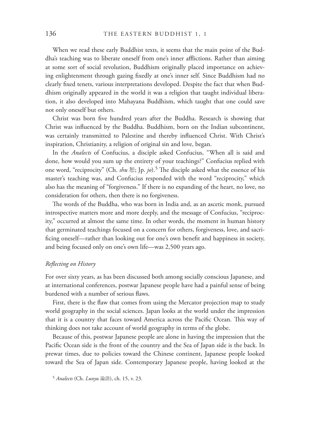When we read these early Buddhist texts, it seems that the main point of the Buddha's teaching was to liberate oneself from one's inner afflictions. Rather than aiming at some sort of social revolution, Buddhism originally placed importance on achieving enlightenment through gazing fixedly at one's inner self. Since Buddhism had no clearly fixed tenets, various interpretations developed. Despite the fact that when Buddhism originally appeared in the world it was a religion that taught individual liberation, it also developed into Mahayana Buddhism, which taught that one could save not only oneself but others.

Christ was born five hundred years after the Buddha. Research is showing that Christ was influenced by the Buddha. Buddhism, born on the Indian subcontinent, was certainly transmitted to Palestine and thereby influenced Christ. With Christ's inspiration, Christianity, a religion of original sin and love, began.

In the *Analects* of Confucius, a disciple asked Confucius, "When all is said and done, how would you sum up the entirety of your teachings?" Confucius replied with one word, "reciprocity" (Ch. *shu* 恕; Jp. *jo*).<sup>5</sup> The disciple asked what the essence of his master's teaching was, and Confucius responded with the word "reciprocity," which also has the meaning of "forgiveness." If there is no expanding of the heart, no love, no consideration for others, then there is no forgiveness.

The words of the Buddha, who was born in India and, as an ascetic monk, pursued introspective matters more and more deeply, and the message of Confucius, "reciprocity," occurred at almost the same time. In other words, the moment in human history that germinated teachings focused on a concern for others, forgiveness, love, and sacri ficing oneself—rather than looking out for one's own benefit and happiness in society, and being focused only on one's own life—was 2,500 years ago.

#### *Re\*ecting on History*

For over sixty years, as has been discussed both among socially conscious Japanese, and at international conferences, postwar Japanese people have had a painful sense of being burdened with a number of serious flaws.

First, there is the flaw that comes from using the Mercator projection map to study world geography in the social sciences. Japan looks at the world under the impression that it is a country that faces toward America across the Pacific Ocean. This way of thinking does not take account of world geography in terms of the globe.

Because of this, postwar Japanese people are alone in having the impression that the Pacific Ocean side is the front of the country and the Sea of Japan side is the back. In prewar times, due to policies toward the Chinese continent, Japanese people looked toward the Sea of Japan side. Contemporary Japanese people, having looked at the

<sup>5</sup> *Analects* (Ch. *Lunyu* 論語), ch. 15, v. 23.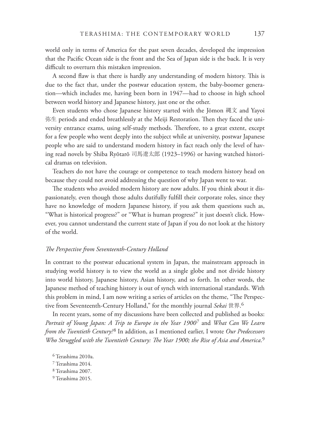world only in terms of America for the past seven decades, developed the impression that the Pacific Ocean side is the front and the Sea of Japan side is the back. It is very difficult to overturn this mistaken impression.

A second flaw is that there is hardly any understanding of modern history. This is due to the fact that, under the postwar education system, the baby-boomer generation—which includes me, having been born in 1947—had to choose in high school between world history and Japanese history, just one or the other.

Even students who chose Japanese history started with the Jōmon 縄文 and Yayoi 弥生 periods and ended breathlessly at the Meiji Restoration. Then they faced the university entrance exams, using self-study methods. Therefore, to a great extent, except for a few people who went deeply into the subject while at university, postwar Japanese people who are said to understand modern history in fact reach only the level of having read novels by Shiba Ryōtarō 司馬遼太郎 (1923–1996) or having watched historical dramas on television.

Teachers do not have the courage or competence to teach modern history head on because they could not avoid addressing the question of why Japan went to war.

The students who avoided modern history are now adults. If you think about it dispassionately, even though those adults dutifully fulfill their corporate roles, since they have no knowledge of modern Japanese history, if you ask them questions such as, "What is historical progress?" or "What is human progress?" it just doesn't click. However, you cannot understand the current state of Japan if you do not look at the history of the world.

#### *!e Perspective from Seventeenth-Century Holland*

In contrast to the postwar educational system in Japan, the mainstream approach in studying world history is to view the world as a single globe and not divide history into world history, Japanese history, Asian history, and so forth. In other words, the Japanese method of teaching history is out of synch with international standards. With this problem in mind, I am now writing a series of articles on the theme, "The Perspective from Seventeenth-Century Holland," for the monthly journal *Sekai* 世界. 6

In recent years, some of my discussions have been collected and published as books: Portrait of Young Japan: A Trip to Europe in the Year 1900<sup>7</sup> and *What Can We Learn from the Twentieth Century?*  8 In addition, as I mentioned earlier, I wrote *Our Predecessors*  Who Struggled with the Twentieth Century: The Year 1900; the Rise of Asia and America.<sup>9</sup>

<sup>6</sup> Terashima 2010a. 7 Terashima 2014. 8 Terashima 2007. 9 Terashima 2015.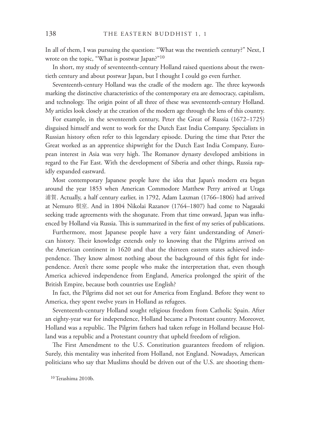In all of them, I was pursuing the question: "What was the twentieth century?" Next, I wrote on the topic, "What is postwar Japan?"<sup>10</sup>

In short, my study of seventeenth-century Holland raised questions about the twentieth century and about postwar Japan, but I thought I could go even further.

Seventeenth-century Holland was the cradle of the modern age. The three keywords marking the distinctive characteristics of the contemporary era are democracy, capitalism, and technology. The origin point of all three of these was seventeenth-century Holland. My articles look closely at the creation of the modern age through the lens of this country.

For example, in the seventeenth century, Peter the Great of Russia (1672–1725) disguised himself and went to work for the Dutch East India Company. Specialists in Russian history often refer to this legendary episode. During the time that Peter the Great worked as an apprentice shipwright for the Dutch East India Company, European interest in Asia was very high. The Romanov dynasty developed ambitions in regard to the Far East. With the development of Siberia and other things, Russia rapidly expanded eastward.

Most contemporary Japanese people have the idea that Japan's modern era began around the year 1853 when American Commodore Matthew Perry arrived at Uraga 浦賀. Actually, a half century earlier, in 1792, Adam Laxman (1766–1806) had arrived at Nemuro 根室. And in 1804 Nikolai Razanov (1764–1807) had come to Nagasaki seeking trade agreements with the shogunate. From that time onward, Japan was influenced by Holland via Russia. This is summarized in the first of my series of publications.

Furthermore, most Japanese people have a very faint understanding of American history. Their knowledge extends only to knowing that the Pilgrims arrived on the American continent in 1620 and that the thirteen eastern states achieved independence. They know almost nothing about the background of this fight for independence. Aren't there some people who make the interpretation that, even though America achieved independence from England, America prolonged the spirit of the British Empire, because both countries use English?

In fact, the Pilgrims did not set out for America from England. Before they went to America, they spent twelve years in Holland as refugees.

Seventeenth-century Holland sought religious freedom from Catholic Spain. After an eighty-year war for independence, Holland became a Protestant country. Moreover, Holland was a republic. The Pilgrim fathers had taken refuge in Holland because Holland was a republic and a Protestant country that upheld freedom of religion.

The First Amendment to the U.S. Constitution guarantees freedom of religion. Surely, this mentality was inherited from Holland, not England. Nowadays, American politicians who say that Muslims should be driven out of the U.S. are shooting them-

10 Terashima 2010b.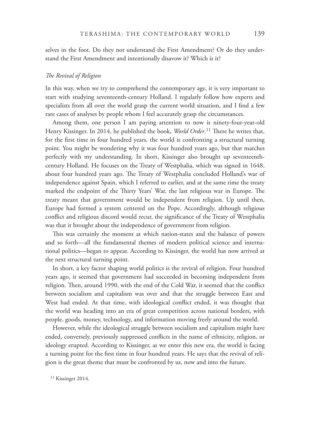selves in the foot. Do they not understand the First Amendment? Or do they understand the First Amendment and intentionally disavow it? Which is it?

#### *!e Revival of Religion*

In this way, when we try to comprehend the contemporary age, it is very important to start with studying seventeenth-century Holland. I regularly follow how experts and specialists from all over the world grasp the current world situation, and I find a few rare cases of analyses by people whom I feel accurately grasp the circumstances.

Among them, one person I am paying attention to now is ninety-four-year-old Henry Kissinger. In 2014, he published the book, *World Order*.<sup>11</sup> There he writes that, for the first time in four hundred years, the world is confronting a structural turning point. You might be wondering why it was four hundred years ago, but that matches perfectly with my understanding. In short, Kissinger also brought up seventeenthcentury Holland. He focuses on the Treaty of Westphalia, which was signed in 1648, about four hundred years ago. The Treaty of Westphalia concluded Holland's war of independence against Spain, which I referred to earlier, and at the same time the treaty marked the endpoint of the Thirty Years' War, the last religious war in Europe. The treaty meant that government would be independent from religion. Up until then, Europe had formed a system centered on the Pope. Accordingly, although religious conflict and religious discord would recur, the significance of the Treaty of Westphalia was that it brought about the independence of government from religion.

This was certainly the moment at which nation-states and the balance of powers and so forth—all the fundamental themes of modern political science and international politics—began to appear. According to Kissinger, the world has now arrived at the next structural turning point.

In short, a key factor shaping world politics is the revival of religion. Four hundred years ago, it seemed that government had succeeded in becoming independent from religion. Then, around 1990, with the end of the Cold War, it seemed that the conflict between socialism and capitalism was over and that the struggle between East and West had ended. At that time, with ideological conflict ended, it was thought that the world was heading into an era of great competition across national borders, with people, goods, money, technology, and information moving freely around the world.

However, while the ideological struggle between socialism and capitalism might have ended, conversely, previously suppressed conflicts in the name of ethnicity, religion, or ideology erupted. According to Kissinger, as we enter this new era, the world is facing a turning point for the first time in four hundred years. He says that the revival of religion is the great theme that must be confronted by us, now and into the future.

11 Kissinger 2014.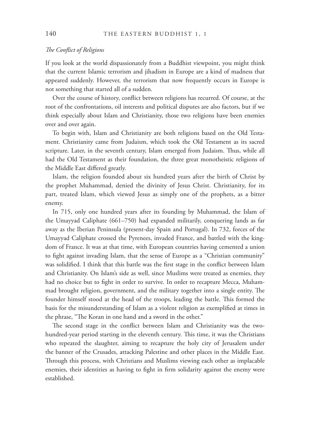## *!e Con\*ict of Religions*

If you look at the world dispassionately from a Buddhist viewpoint, you might think that the current Islamic terrorism and jihadism in Europe are a kind of madness that appeared suddenly. However, the terrorism that now frequently occurs in Europe is not something that started all of a sudden.

Over the course of history, conflict between religions has recurred. Of course, at the root of the confrontations, oil interests and political disputes are also factors, but if we think especially about Islam and Christianity, those two religions have been enemies over and over again.

To begin with, Islam and Christianity are both religions based on the Old Testament. Christianity came from Judaism, which took the Old Testament as its sacred scripture. Later, in the seventh century, Islam emerged from Judaism. Thus, while all had the Old Testament as their foundation, the three great monotheistic religions of the Middle East differed greatly.

Islam, the religion founded about six hundred years after the birth of Christ by the prophet Muhammad, denied the divinity of Jesus Christ. Christianity, for its part, treated Islam, which viewed Jesus as simply one of the prophets, as a bitter enemy.

In 715, only one hundred years after its founding by Muhammad, the Islam of the Umayyad Caliphate (661–750) had expanded militarily, conquering lands as far away as the Iberian Peninsula (present-day Spain and Portugal). In 732, forces of the Umayyad Caliphate crossed the Pyrenees, invaded France, and battled with the kingdom of France. It was at that time, with European countries having cemented a union to fight against invading Islam, that the sense of Europe as a "Christian community" was solidified. I think that this battle was the first stage in the conflict between Islam and Christianity. On Islam's side as well, since Muslims were treated as enemies, they had no choice but to fight in order to survive. In order to recapture Mecca, Muhammad brought religion, government, and the military together into a single entity. The founder himself stood at the head of the troops, leading the battle. This formed the basis for the misunderstanding of Islam as a violent religion as exemplified at times in the phrase, "The Koran in one hand and a sword in the other."

The second stage in the conflict between Islam and Christianity was the twohundred-year period starting in the eleventh century. This time, it was the Christians who repeated the slaughter, aiming to recapture the holy city of Jerusalem under the banner of the Crusades, attacking Palestine and other places in the Middle East. Through this process, with Christians and Muslims viewing each other as implacable enemies, their identities as having to fight in firm solidarity against the enemy were established.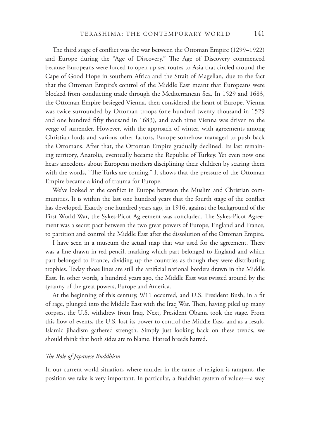The third stage of conflict was the war between the Ottoman Empire (1299–1922) and Europe during the "Age of Discovery." The Age of Discovery commenced because Europeans were forced to open up sea routes to Asia that circled around the Cape of Good Hope in southern Africa and the Strait of Magellan, due to the fact that the Ottoman Empire's control of the Middle East meant that Europeans were blocked from conducting trade through the Mediterranean Sea. In 1529 and 1683, the Ottoman Empire besieged Vienna, then considered the heart of Europe. Vienna was twice surrounded by Ottoman troops (one hundred twenty thousand in 1529 and one hundred fifty thousand in 1683), and each time Vienna was driven to the verge of surrender. However, with the approach of winter, with agreements among Christian lords and various other factors, Europe somehow managed to push back the Ottomans. After that, the Ottoman Empire gradually declined. Its last remaining territory, Anatolia, eventually became the Republic of Turkey. Yet even now one hears anecdotes about European mothers disciplining their children by scaring them with the words, "The Turks are coming." It shows that the pressure of the Ottoman Empire became a kind of trauma for Europe.

We've looked at the conflict in Europe between the Muslim and Christian communities. It is within the last one hundred years that the fourth stage of the conflict has developed. Exactly one hundred years ago, in 1916, against the background of the First World War, the Sykes-Picot Agreement was concluded. The Sykes-Picot Agreement was a secret pact between the two great powers of Europe, England and France, to partition and control the Middle East after the dissolution of the Ottoman Empire.

I have seen in a museum the actual map that was used for the agreement. There was a line drawn in red pencil, marking which part belonged to England and which part belonged to France, dividing up the countries as though they were distributing trophies. Today those lines are still the artificial national borders drawn in the Middle East. In other words, a hundred years ago, the Middle East was twisted around by the tyranny of the great powers, Europe and America.

At the beginning of this century,  $9/11$  occurred, and U.S. President Bush, in a fit of rage, plunged into the Middle East with the Iraq War. Then, having piled up many corpses, the U.S. withdrew from Iraq. Next, President Obama took the stage. From this flow of events, the U.S. lost its power to control the Middle East, and as a result, Islamic jihadism gathered strength. Simply just looking back on these trends, we should think that both sides are to blame. Hatred breeds hatred.

#### *!e Role of Japanese Buddhism*

In our current world situation, where murder in the name of religion is rampant, the position we take is very important. In particular, a Buddhist system of values—a way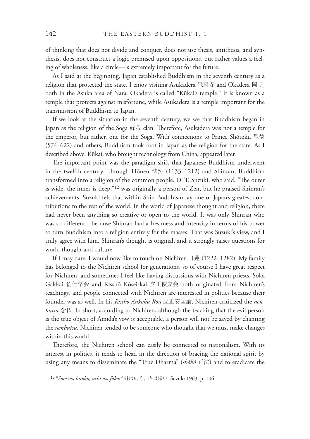of thinking that does not divide and conquer, does not use thesis, antithesis, and synthesis, does not construct a logic premised upon oppositions, but rather values a feeling of wholeness, like a circle—is extremely important for the future.

As I said at the beginning, Japan established Buddhism in the seventh century as a religion that protected the state. I enjoy visiting Asukadera 飛鳥寺 and Okadera 岡寺, both in the Asuka area of Nara. Okadera is called "Kūkai's temple." It is known as a temple that protects against misfortune, while Asukadera is a temple important for the transmission of Buddhism to Japan.

If we look at the situation in the seventh century, we see that Buddhism began in Japan as the religion of the Soga 蘇我 clan. Therefore, Asukadera was not a temple for the emperor, but rather, one for the Soga. With connections to Prince Shōtoku 聖徳 (574–622) and others, Buddhism took root in Japan as the religion for the state. As I described above, Kūkai, who brought technology from China, appeared later.

The important point was the paradigm shift that Japanese Buddhism underwent in the twelfth century. Through Hōnen 法然  $(1133-1212)$  and Shinran, Buddhism transformed into a religion of the common people. D. T. Suzuki, who said, "The outer is wide, the inner is deep,"12 was originally a person of Zen, but he praised Shinran's achievements. Suzuki felt that within Shin Buddhism lay one of Japan's greatest contributions to the rest of the world. In the world of Japanese thought and religion, there had never been anything so creative or open to the world. It was only Shinran who was so different—because Shinran had a freshness and intensity in terms of his power to turn Buddhism into a religion entirely for the masses. That was Suzuki's view, and I truly agree with him. Shinran's thought is original, and it strongly raises questions for world thought and culture.

If I may dare, I would now like to touch on Nichiren 日蓮 (1222–1282). My family has belonged to the Nichiren school for generations, so of course I have great respect for Nichiren, and sometimes I feel like having discussions with Nichiren priests. Sōka Gakkai 創価学会 and Risshō Kōsei-kai 立正佼成会 both originated from Nichiren's teachings, and people connected with Nichiren are interested in politics because their founder was as well. In his *Risshō Ankoku Ron* 立正安国論, Nichiren criticized the *nenbutsu* 念仏. In short, according to Nichiren, although the teaching that the evil person is the true object of Amida's vow is acceptable, a person will not be saved by chanting the *nenbutsu*. Nichiren tended to be someone who thought that we must make changes within this world.

Therefore, the Nichiren school can easily be connected to nationalism. With its interest in politics, it tends to head in the direction of bracing the national spirit by using any means to disseminate the "True Dharma" (*shōbō* 正法) and to eradicate the

12 "*Soto wa hiroku, uchi wa fukai"* 外は広く、内は深い. Suzuki 1963, p. 106.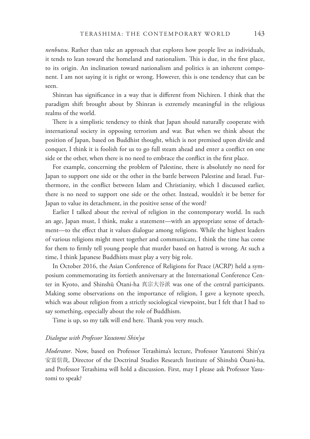*nenbutsu*. Rather than take an approach that explores how people live as individuals, it tends to lean toward the homeland and nationalism. This is due, in the first place, to its origin. An inclination toward nationalism and politics is an inherent component. I am not saying it is right or wrong. However, this is one tendency that can be seen.

Shinran has significance in a way that is different from Nichiren. I think that the paradigm shift brought about by Shinran is extremely meaningful in the religious realms of the world.

There is a simplistic tendency to think that Japan should naturally cooperate with international society in opposing terrorism and war. But when we think about the position of Japan, based on Buddhist thought, which is not premised upon divide and conquer, I think it is foolish for us to go full steam ahead and enter a conflict on one side or the other, when there is no need to embrace the conflict in the first place.

For example, concerning the problem of Palestine, there is absolutely no need for Japan to support one side or the other in the battle between Palestine and Israel. Furthermore, in the conflict between Islam and Christianity, which I discussed earlier, there is no need to support one side or the other. Instead, wouldn't it be better for Japan to value its detachment, in the positive sense of the word?

Earlier I talked about the revival of religion in the contemporary world. In such an age, Japan must, I think, make a statement—with an appropriate sense of detachment—to the effect that it values dialogue among religions. While the highest leaders of various religions might meet together and communicate, I think the time has come for them to firmly tell young people that murder based on hatred is wrong. At such a time, I think Japanese Buddhists must play a very big role.

In October 2016, the Asian Conference of Religions for Peace (ACRP) held a symposium commemorating its fortieth anniversary at the International Conference Center in Kyoto, and Shinshū Ōtani-ha 真宗大谷派 was one of the central participants. Making some observations on the importance of religion, I gave a keynote speech, which was about religion from a strictly sociological viewpoint, but I felt that I had to say something, especially about the role of Buddhism.

Time is up, so my talk will end here. Thank you very much.

#### *Dialogue with Professor Yasutomi Shin'ya*

*Moderator*. Now, based on Professor Terashima's lecture, Professor Yasutomi Shin'ya 安富信哉, Director of the Doctrinal Studies Research Institute of Shinshū Ōtani-ha, and Professor Terashima will hold a discussion. First, may I please ask Professor Yasutomi to speak?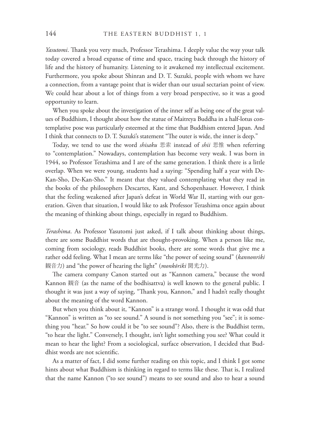*Yasutomi*. Thank you very much, Professor Terashima. I deeply value the way your talk today covered a broad expanse of time and space, tracing back through the history of life and the history of humanity. Listening to it awakened my intellectual excitement. Furthermore, you spoke about Shinran and D. T. Suzuki, people with whom we have a connection, from a vantage point that is wider than our usual sectarian point of view. We could hear about a lot of things from a very broad perspective, so it was a good opportunity to learn.

When you spoke about the investigation of the inner self as being one of the great values of Buddhism, I thought about how the statue of Maitreya Buddha in a half-lotus contemplative pose was particularly esteemed at the time that Buddhism entered Japan. And I think that connects to D. T. Suzuki's statement "The outer is wide, the inner is deep."

Today, we tend to use the word *shisaku* 思索 instead of *shii* 思惟 when referring to "contemplation." Nowadays, contemplation has become very weak. I was born in 1944, so Professor Terashima and I are of the same generation. I think there is a little overlap. When we were young, students had a saying: "Spending half a year with De-Kan-Sho, De-Kan-Sho." It meant that they valued contemplating what they read in the books of the philosophers Descartes, Kant, and Schopenhauer. However, I think that the feeling weakened after Japan's defeat in World War II, starting with our generation. Given that situation, I would like to ask Professor Terashima once again about the meaning of thinking about things, especially in regard to Buddhism.

*Terashima*. As Professor Yasutomi just asked, if I talk about thinking about things, there are some Buddhist words that are thought-provoking. When a person like me, coming from sociology, reads Buddhist books, there are some words that give me a rather odd feeling. What I mean are terms like "the power of seeing sound" (*kannonriki* 観音力) and "the power of hearing the light" (*monkōriki* 聞光力).

The camera company Canon started out as "Kannon camera," because the word Kannon 観音 (as the name of the bodhisattva) is well known to the general public. I thought it was just a way of saying, "Thank you, Kannon," and I hadn't really thought about the meaning of the word Kannon.

But when you think about it, "Kannon" is a strange word. I thought it was odd that "Kannon" is written as "to see sound." A sound is not something you "see"; it is something you "hear." So how could it be "to see sound"? Also, there is the Buddhist term, "to hear the light." Conversely, I thought, isn't light something you see? What could it mean to hear the light? From a sociological, surface observation, I decided that Buddhist words are not scientific.

As a matter of fact, I did some further reading on this topic, and I think I got some hints about what Buddhism is thinking in regard to terms like these. That is, I realized that the name Kannon ("to see sound") means to see sound and also to hear a sound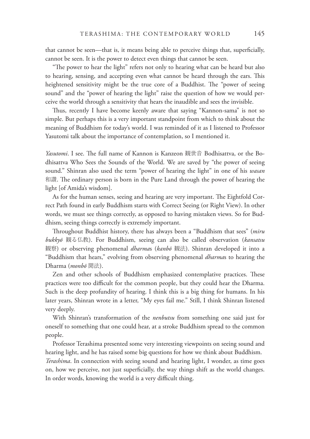that cannot be seen—that is, it means being able to perceive things that, superficially, cannot be seen. It is the power to detect even things that cannot be seen.

"The power to hear the light" refers not only to hearing what can be heard but also to hearing, sensing, and accepting even what cannot be heard through the ears. This heightened sensitivity might be the true core of a Buddhist. The "power of seeing sound" and the "power of hearing the light" raise the question of how we would perceive the world through a sensitivity that hears the inaudible and sees the invisible.

Thus, recently I have become keenly aware that saying "Kannon-sama" is not so simple. But perhaps this is a very important standpoint from which to think about the meaning of Buddhism for today's world. I was reminded of it as I listened to Professor Yasutomi talk about the importance of contemplation, so I mentioned it.

*Yasutomi*. I see. The full name of Kannon is Kanzeon 観世音 Bodhisattva, or the Bodhisattva Who Sees the Sounds of the World. We are saved by "the power of seeing sound." Shinran also used the term "power of hearing the light" in one of his *wasan* 和讚. The ordinary person is born in the Pure Land through the power of hearing the light [of Amida's wisdom].

As for the human senses, seeing and hearing are very important. The Eightfold Correct Path found in early Buddhism starts with Correct Seeing (or Right View). In other words, we must see things correctly, as opposed to having mistaken views. So for Buddhism, seeing things correctly is extremely important.

Throughout Buddhist history, there has always been a "Buddhism that sees" (*miru bukkyō* 観る仏教). For Buddhism, seeing can also be called observation (*kansatsu* 観察) or observing phenomenal *dharma*s (*kanbō* 観法). Shinran developed it into a "Buddhism that hears," evolving from observing phenomenal *dharma*s to hearing the Dharma (*monbō* 聞法).

Zen and other schools of Buddhism emphasized contemplative practices. These practices were too difficult for the common people, but they could hear the Dharma. Such is the deep profundity of hearing. I think this is a big thing for humans. In his later years, Shinran wrote in a letter, "My eyes fail me." Still, I think Shinran listened very deeply.

With Shinran's transformation of the *nenbutsu* from something one said just for oneself to something that one could hear, at a stroke Buddhism spread to the common people.

Professor Terashima presented some very interesting viewpoints on seeing sound and hearing light, and he has raised some big questions for how we think about Buddhism. *Terashima*. In connection with seeing sound and hearing light, I wonder, as time goes on, how we perceive, not just superficially, the way things shift as the world changes. In order words, knowing the world is a very difficult thing.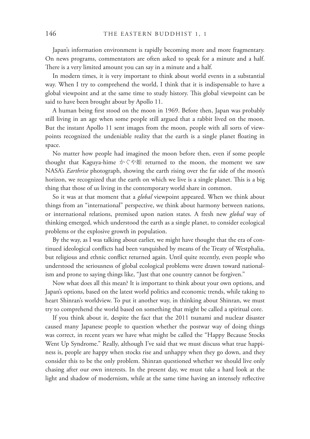Japan's information environment is rapidly becoming more and more fragmentary. On news programs, commentators are often asked to speak for a minute and a half. There is a very limited amount you can say in a minute and a half.

In modern times, it is very important to think about world events in a substantial way. When I try to comprehend the world, I think that it is indispensable to have a global viewpoint and at the same time to study history. This global viewpoint can be said to have been brought about by Apollo 11.

A human being first stood on the moon in 1969. Before then, Japan was probably still living in an age when some people still argued that a rabbit lived on the moon. But the instant Apollo 11 sent images from the moon, people with all sorts of viewpoints recognized the undeniable reality that the earth is a single planet floating in space.

No matter how people had imagined the moon before then, even if some people thought that Kaguya-hime かぐや姫 returned to the moon, the moment we saw NASA's *Earthrise* photograph, showing the earth rising over the far side of the moon's horizon, we recognized that the earth on which we live is a single planet. This is a big thing that those of us living in the contemporary world share in common.

So it was at that moment that a *global* viewpoint appeared. When we think about things from an "international" perspective, we think about harmony between nations, or international relations, premised upon nation states. A fresh new *global* way of thinking emerged, which understood the earth as a single planet, to consider ecological problems or the explosive growth in population.

By the way, as I was talking about earlier, we might have thought that the era of continued ideological conflicts had been vanquished by means of the Treaty of Westphalia, but religious and ethnic conflict returned again. Until quite recently, even people who understood the seriousness of global ecological problems were drawn toward nationalism and prone to saying things like, "Just that one country cannot be forgiven."

Now what does all this mean? It is important to think about your own options, and Japan's options, based on the latest world politics and economic trends, while taking to heart Shinran's worldview. To put it another way, in thinking about Shinran, we must try to comprehend the world based on something that might be called a spiritual core.

If you think about it, despite the fact that the 2011 tsunami and nuclear disaster caused many Japanese people to question whether the postwar way of doing things was correct, in recent years we have what might be called the "Happy Because Stocks Went Up Syndrome." Really, although I've said that we must discuss what true happiness is, people are happy when stocks rise and unhappy when they go down, and they consider this to be the only problem. Shinran questioned whether we should live only chasing after our own interests. In the present day, we must take a hard look at the light and shadow of modernism, while at the same time having an intensely reflective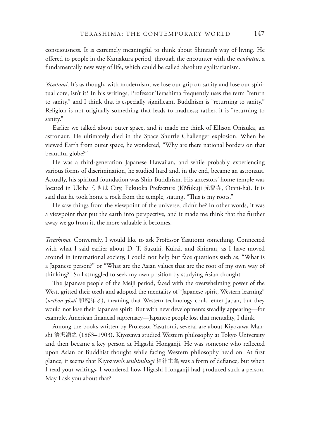consciousness. It is extremely meaningful to think about Shinran's way of living. He offered to people in the Kamakura period, through the encounter with the *nenbutsu*, a fundamentally new way of life, which could be called absolute egalitarianism.

*Yasutomi*. It's as though, with modernism, we lose our grip on sanity and lose our spiritual core, isn't it? In his writings, Professor Terashima frequently uses the term "return to sanity," and I think that is especially significant. Buddhism is "returning to sanity." Religion is not originally something that leads to madness; rather, it is "returning to sanity."

Earlier we talked about outer space, and it made me think of Ellison Onizuka, an astronaut. He ultimately died in the Space Shuttle Challenger explosion. When he viewed Earth from outer space, he wondered, "Why are there national borders on that beautiful globe?"

He was a third-generation Japanese Hawaiian, and while probably experiencing various forms of discrimination, he studied hard and, in the end, became an astronaut. Actually, his spiritual foundation was Shin Buddhism. His ancestors' home temple was located in Ukiha うきは City, Fukuoka Prefecture (Kōfukuji 光福寺, Ōtani-ha). It is said that he took home a rock from the temple, stating, "This is my roots."

He saw things from the viewpoint of the universe, didn't he? In other words, it was a viewpoint that put the earth into perspective, and it made me think that the further away we go from it, the more valuable it becomes.

*Terashima*. Conversely, I would like to ask Professor Yasutomi something. Connected with what I said earlier about D. T. Suzuki, Kūkai, and Shinran, as I have moved around in international society, I could not help but face questions such as, "What is a Japanese person?" or "What are the Asian values that are the root of my own way of thinking?" So I struggled to seek my own position by studying Asian thought.

The Japanese people of the Meiji period, faced with the overwhelming power of the West, gritted their teeth and adopted the mentality of "Japanese spirit, Western learning" (*wakon yōsai* 和魂洋才), meaning that Western technology could enter Japan, but they would not lose their Japanese spirit. But with new developments steadily appearing—for example, American financial supremacy—Japanese people lost that mentality, I think.

Among the books written by Professor Yasutomi, several are about Kiyozawa Manshi 清沢満之 (1863–1903). Kiyozawa studied Western philosophy at Tokyo University and then became a key person at Higashi Honganji. He was someone who reflected upon Asian or Buddhist thought while facing Western philosophy head on. At first glance, it seems that Kiyozawa's *seishinshugi* 精神主義 was a form of defiance, but when I read your writings, I wondered how Higashi Honganji had produced such a person. May I ask you about that?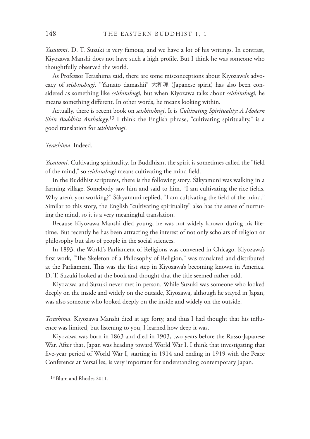*Yasutomi*. D. T. Suzuki is very famous, and we have a lot of his writings. In contrast, Kiyozawa Manshi does not have such a high profile. But I think he was someone who thoughtfully observed the world.

As Professor Terashima said, there are some misconceptions about Kiyozawa's advocacy of *seishinshugi*. "Yamato damashii" 大和魂 (Japanese spirit) has also been considered as something like *seishinshugi*, but when Kiyozawa talks about *seishinshugi*, he means something different. In other words, he means looking within.

Actually, there is recent book on *seishinshugi*. It is *Cultivating Spirituality: A Modern Shin Buddhist Anthology*. 13 I think the English phrase, "cultivating spirituality," is a good translation for *seishinshugi*.

## *Terashima*. Indeed.

*Yasutomi*. Cultivating spirituality. In Buddhism, the spirit is sometimes called the "field of the mind," so *seishinshugi* means cultivating the mind field.

In the Buddhist scriptures, there is the following story. Śākyamuni was walking in a farming village. Somebody saw him and said to him, "I am cultivating the rice fields. Why aren't you working?" Śākyamuni replied, "I am cultivating the field of the mind." Similar to this story, the English "cultivating spirituality" also has the sense of nurturing the mind, so it is a very meaningful translation.

Because Kiyozawa Manshi died young, he was not widely known during his lifetime. But recently he has been attracting the interest of not only scholars of religion or philosophy but also of people in the social sciences.

In 1893, the World's Parliament of Religions was convened in Chicago. Kiyozawa's first work, "The Skeleton of a Philosophy of Religion," was translated and distributed at the Parliament. This was the first step in Kiyozawa's becoming known in America. D. T. Suzuki looked at the book and thought that the title seemed rather odd.

Kiyozawa and Suzuki never met in person. While Suzuki was someone who looked deeply on the inside and widely on the outside, Kiyozawa, although he stayed in Japan, was also someone who looked deeply on the inside and widely on the outside.

*Terashima*. Kiyozawa Manshi died at age forty, and thus I had thought that his influence was limited, but listening to you, I learned how deep it was.

Kiyozawa was born in 1863 and died in 1903, two years before the Russo-Japanese War. After that, Japan was heading toward World War I. I think that investigating that five-year period of World War I, starting in 1914 and ending in 1919 with the Peace Conference at Versailles, is very important for understanding contemporary Japan.

13 Blum and Rhodes 2011.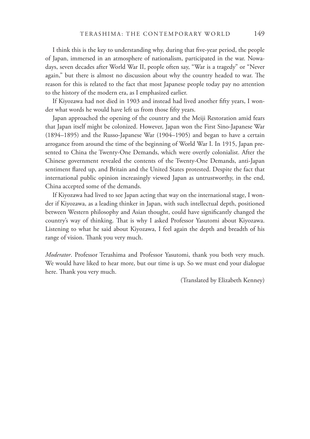I think this is the key to understanding why, during that five-year period, the people of Japan, immersed in an atmosphere of nationalism, participated in the war. Nowadays, seven decades after World War II, people often say, "War is a tragedy" or "Never again," but there is almost no discussion about why the country headed to war. The reason for this is related to the fact that most Japanese people today pay no attention to the history of the modern era, as I emphasized earlier.

If Kiyozawa had not died in 1903 and instead had lived another fifty years, I wonder what words he would have left us from those fifty years.

Japan approached the opening of the country and the Meiji Restoration amid fears that Japan itself might be colonized. However, Japan won the First Sino-Japanese War (1894–1895) and the Russo-Japanese War (1904–1905) and began to have a certain arrogance from around the time of the beginning of World War I. In 1915, Japan presented to China the Twenty-One Demands, which were overtly colonialist. After the Chinese government revealed the contents of the Twenty-One Demands, anti-Japan sentiment flared up, and Britain and the United States protested. Despite the fact that international public opinion increasingly viewed Japan as untrustworthy, in the end, China accepted some of the demands.

If Kiyozawa had lived to see Japan acting that way on the international stage, I wonder if Kiyozawa, as a leading thinker in Japan, with such intellectual depth, positioned between Western philosophy and Asian thought, could have significantly changed the country's way of thinking. That is why I asked Professor Yasutomi about Kiyozawa. Listening to what he said about Kiyozawa, I feel again the depth and breadth of his range of vision. Thank you very much.

*Moderator*. Professor Terashima and Professor Yasutomi, thank you both very much. We would have liked to hear more, but our time is up. So we must end your dialogue here. Thank you very much.

(Translated by Elizabeth Kenney)